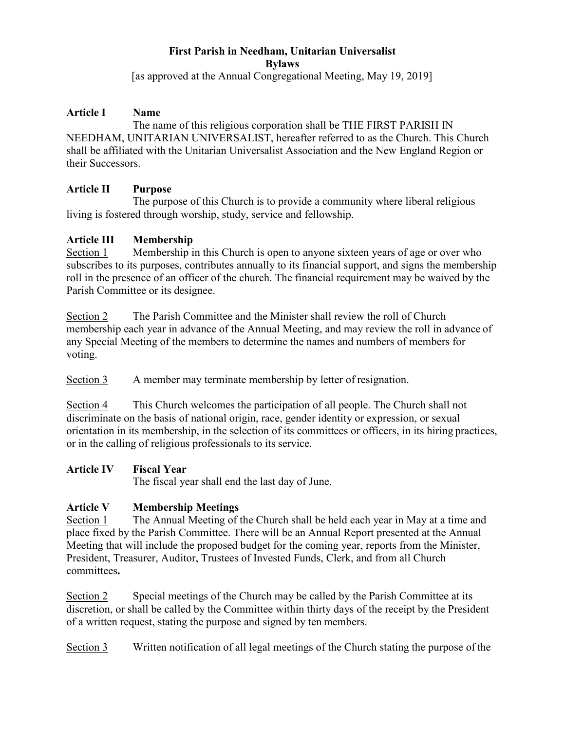# **First Parish in Needham, Unitarian Universalist Bylaws**

[as approved at the Annual Congregational Meeting, May 19, 2019]

#### **Article I Name**

The name of this religious corporation shall be THE FIRST PARISH IN NEEDHAM, UNITARIAN UNIVERSALIST, hereafter referred to as the Church. This Church shall be affiliated with the Unitarian Universalist Association and the New England Region or their Successors.

### **Article II Purpose**

The purpose of this Church is to provide a community where liberal religious living is fostered through worship, study, service and fellowship.

### **Article III Membership**

Section 1 Membership in this Church is open to anyone sixteen years of age or over who subscribes to its purposes, contributes annually to its financial support, and signs the membership roll in the presence of an officer of the church. The financial requirement may be waived by the Parish Committee or its designee.

Section 2 The Parish Committee and the Minister shall review the roll of Church membership each year in advance of the Annual Meeting, and may review the roll in advance of any Special Meeting of the members to determine the names and numbers of members for voting.

Section 3 A member may terminate membership by letter of resignation.

Section 4 This Church welcomes the participation of all people. The Church shall not discriminate on the basis of national origin, race, gender identity or expression, or sexual orientation in its membership, in the selection of its committees or officers, in its hiring practices, or in the calling of religious professionals to its service.

#### **Article IV Fiscal Year**

The fiscal year shall end the last day of June.

# **Article V Membership Meetings**

Section 1 The Annual Meeting of the Church shall be held each year in May at a time and place fixed by the Parish Committee. There will be an Annual Report presented at the Annual Meeting that will include the proposed budget for the coming year, reports from the Minister, President, Treasurer, Auditor, Trustees of Invested Funds, Clerk, and from all Church committees**.**

Section 2 Special meetings of the Church may be called by the Parish Committee at its discretion, or shall be called by the Committee within thirty days of the receipt by the President of a written request, stating the purpose and signed by ten members.

Section 3 Written notification of all legal meetings of the Church stating the purpose of the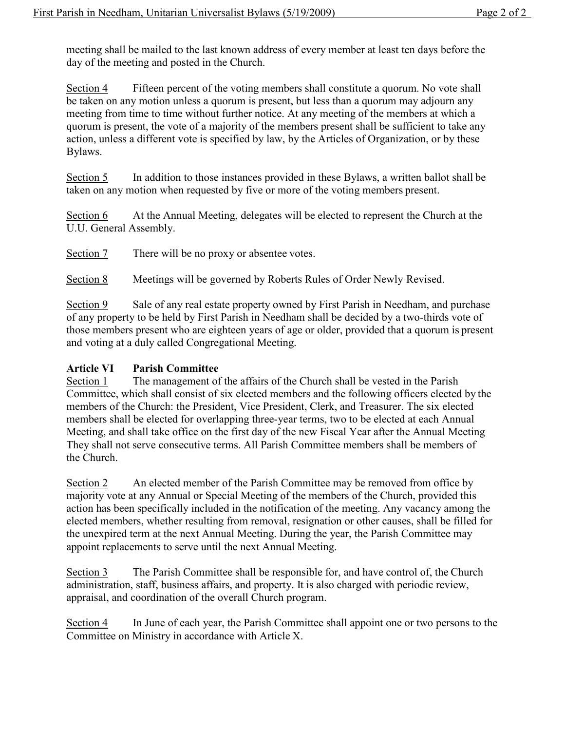meeting shall be mailed to the last known address of every member at least ten days before the day of the meeting and posted in the Church.

Section 4 Fifteen percent of the voting members shall constitute a quorum. No vote shall be taken on any motion unless a quorum is present, but less than a quorum may adjourn any meeting from time to time without further notice. At any meeting of the members at which a quorum is present, the vote of a majority of the members present shall be sufficient to take any action, unless a different vote is specified by law, by the Articles of Organization, or by these Bylaws.

Section 5 In addition to those instances provided in these Bylaws, a written ballot shall be taken on any motion when requested by five or more of the voting members present.

Section 6 At the Annual Meeting, delegates will be elected to represent the Church at the U.U. General Assembly.

Section 7 There will be no proxy or absentee votes.

Section 8 Meetings will be governed by Roberts Rules of Order Newly Revised.

Section 9 Sale of any real estate property owned by First Parish in Needham, and purchase of any property to be held by First Parish in Needham shall be decided by a two-thirds vote of those members present who are eighteen years of age or older, provided that a quorum is present and voting at a duly called Congregational Meeting.

## **Article VI Parish Committee**

Section 1 The management of the affairs of the Church shall be vested in the Parish Committee, which shall consist of six elected members and the following officers elected by the members of the Church: the President, Vice President, Clerk, and Treasurer. The six elected members shall be elected for overlapping three-year terms, two to be elected at each Annual Meeting, and shall take office on the first day of the new Fiscal Year after the Annual Meeting They shall not serve consecutive terms. All Parish Committee members shall be members of the Church.

Section 2 An elected member of the Parish Committee may be removed from office by majority vote at any Annual or Special Meeting of the members of the Church, provided this action has been specifically included in the notification of the meeting. Any vacancy among the elected members, whether resulting from removal, resignation or other causes, shall be filled for the unexpired term at the next Annual Meeting. During the year, the Parish Committee may appoint replacements to serve until the next Annual Meeting.

Section 3 The Parish Committee shall be responsible for, and have control of, the Church administration, staff, business affairs, and property. It is also charged with periodic review, appraisal, and coordination of the overall Church program.

Section 4 In June of each year, the Parish Committee shall appoint one or two persons to the Committee on Ministry in accordance with Article X.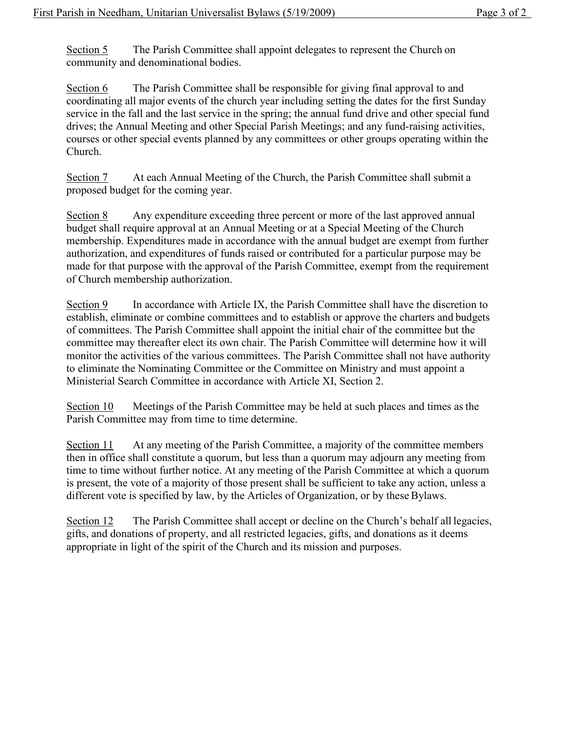Section 5 The Parish Committee shall appoint delegates to represent the Church on community and denominational bodies.

Section 6 The Parish Committee shall be responsible for giving final approval to and coordinating all major events of the church year including setting the dates for the first Sunday service in the fall and the last service in the spring; the annual fund drive and other special fund drives; the Annual Meeting and other Special Parish Meetings; and any fund-raising activities, courses or other special events planned by any committees or other groups operating within the Church.

Section 7 At each Annual Meeting of the Church, the Parish Committee shall submit a proposed budget for the coming year.

Section 8 Any expenditure exceeding three percent or more of the last approved annual budget shall require approval at an Annual Meeting or at a Special Meeting of the Church membership. Expenditures made in accordance with the annual budget are exempt from further authorization, and expenditures of funds raised or contributed for a particular purpose may be made for that purpose with the approval of the Parish Committee, exempt from the requirement of Church membership authorization.

Section 9 In accordance with Article IX, the Parish Committee shall have the discretion to establish, eliminate or combine committees and to establish or approve the charters and budgets of committees. The Parish Committee shall appoint the initial chair of the committee but the committee may thereafter elect its own chair. The Parish Committee will determine how it will monitor the activities of the various committees. The Parish Committee shall not have authority to eliminate the Nominating Committee or the Committee on Ministry and must appoint a Ministerial Search Committee in accordance with Article XI, Section 2.

Section 10 Meetings of the Parish Committee may be held at such places and times as the Parish Committee may from time to time determine.

Section 11 At any meeting of the Parish Committee, a majority of the committee members then in office shall constitute a quorum, but less than a quorum may adjourn any meeting from time to time without further notice. At any meeting of the Parish Committee at which a quorum is present, the vote of a majority of those present shall be sufficient to take any action, unless a different vote is specified by law, by the Articles of Organization, or by these Bylaws.

Section 12 The Parish Committee shall accept or decline on the Church's behalf all legacies, gifts, and donations of property, and all restricted legacies, gifts, and donations as it deems appropriate in light of the spirit of the Church and its mission and purposes.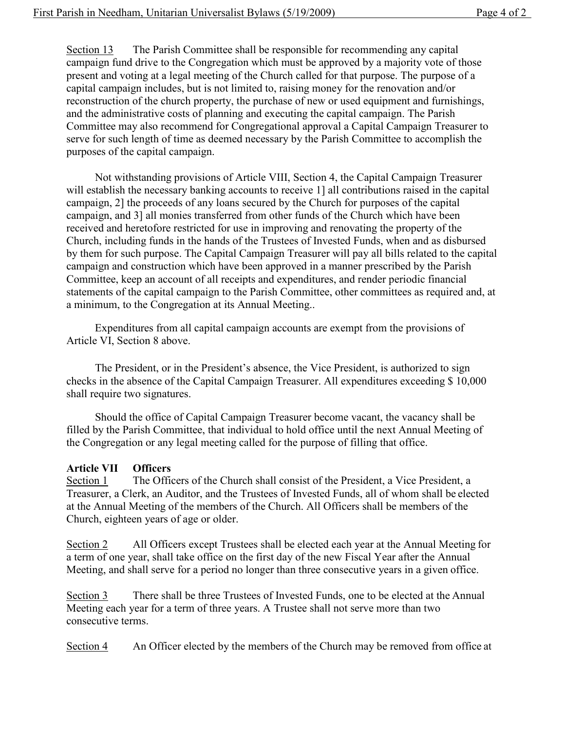Section 13 The Parish Committee shall be responsible for recommending any capital campaign fund drive to the Congregation which must be approved by a majority vote of those present and voting at a legal meeting of the Church called for that purpose. The purpose of a capital campaign includes, but is not limited to, raising money for the renovation and/or reconstruction of the church property, the purchase of new or used equipment and furnishings, and the administrative costs of planning and executing the capital campaign. The Parish Committee may also recommend for Congregational approval a Capital Campaign Treasurer to serve for such length of time as deemed necessary by the Parish Committee to accomplish the purposes of the capital campaign.

Not withstanding provisions of Article VIII, Section 4, the Capital Campaign Treasurer will establish the necessary banking accounts to receive 1] all contributions raised in the capital campaign, 2] the proceeds of any loans secured by the Church for purposes of the capital campaign, and 3] all monies transferred from other funds of the Church which have been received and heretofore restricted for use in improving and renovating the property of the Church, including funds in the hands of the Trustees of Invested Funds, when and as disbursed by them for such purpose. The Capital Campaign Treasurer will pay all bills related to the capital campaign and construction which have been approved in a manner prescribed by the Parish Committee, keep an account of all receipts and expenditures, and render periodic financial statements of the capital campaign to the Parish Committee, other committees as required and, at a minimum, to the Congregation at its Annual Meeting..

Expenditures from all capital campaign accounts are exempt from the provisions of Article VI, Section 8 above.

The President, or in the President's absence, the Vice President, is authorized to sign checks in the absence of the Capital Campaign Treasurer. All expenditures exceeding \$ 10,000 shall require two signatures.

Should the office of Capital Campaign Treasurer become vacant, the vacancy shall be filled by the Parish Committee, that individual to hold office until the next Annual Meeting of the Congregation or any legal meeting called for the purpose of filling that office.

#### **Article VII Officers**

Section 1 The Officers of the Church shall consist of the President, a Vice President, a Treasurer, a Clerk, an Auditor, and the Trustees of Invested Funds, all of whom shall be elected at the Annual Meeting of the members of the Church. All Officers shall be members of the Church, eighteen years of age or older.

Section 2 All Officers except Trustees shall be elected each year at the Annual Meeting for a term of one year, shall take office on the first day of the new Fiscal Year after the Annual Meeting, and shall serve for a period no longer than three consecutive years in a given office.

Section 3 There shall be three Trustees of Invested Funds, one to be elected at the Annual Meeting each year for a term of three years. A Trustee shall not serve more than two consecutive terms.

Section 4 An Officer elected by the members of the Church may be removed from office at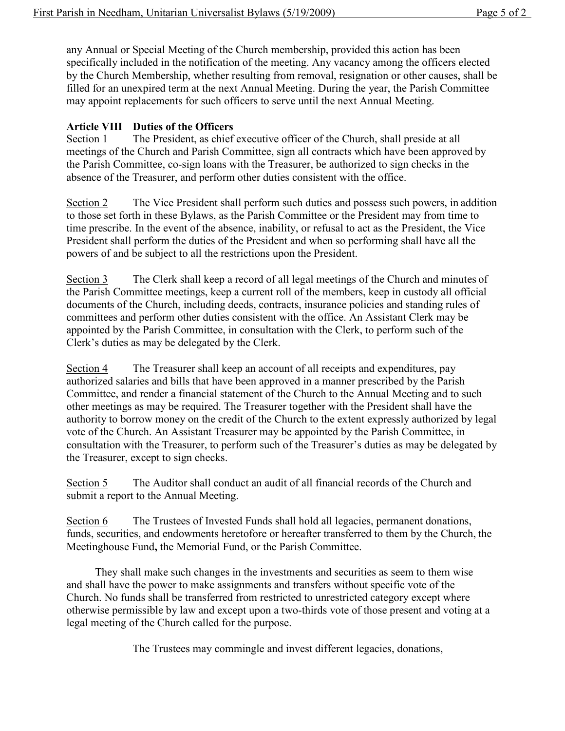any Annual or Special Meeting of the Church membership, provided this action has been specifically included in the notification of the meeting. Any vacancy among the officers elected by the Church Membership, whether resulting from removal, resignation or other causes, shall be filled for an unexpired term at the next Annual Meeting. During the year, the Parish Committee may appoint replacements for such officers to serve until the next Annual Meeting.

# **Article VIII Duties of the Officers**

Section 1 The President, as chief executive officer of the Church, shall preside at all meetings of the Church and Parish Committee, sign all contracts which have been approved by the Parish Committee, co-sign loans with the Treasurer, be authorized to sign checks in the absence of the Treasurer, and perform other duties consistent with the office.

Section 2 The Vice President shall perform such duties and possess such powers, in addition to those set forth in these Bylaws, as the Parish Committee or the President may from time to time prescribe. In the event of the absence, inability, or refusal to act as the President, the Vice President shall perform the duties of the President and when so performing shall have all the powers of and be subject to all the restrictions upon the President.

Section 3 The Clerk shall keep a record of all legal meetings of the Church and minutes of the Parish Committee meetings, keep a current roll of the members, keep in custody all official documents of the Church, including deeds, contracts, insurance policies and standing rules of committees and perform other duties consistent with the office. An Assistant Clerk may be appointed by the Parish Committee, in consultation with the Clerk, to perform such of the Clerk's duties as may be delegated by the Clerk.

Section 4 The Treasurer shall keep an account of all receipts and expenditures, pay authorized salaries and bills that have been approved in a manner prescribed by the Parish Committee, and render a financial statement of the Church to the Annual Meeting and to such other meetings as may be required. The Treasurer together with the President shall have the authority to borrow money on the credit of the Church to the extent expressly authorized by legal vote of the Church. An Assistant Treasurer may be appointed by the Parish Committee, in consultation with the Treasurer, to perform such of the Treasurer's duties as may be delegated by the Treasurer, except to sign checks.

Section 5 The Auditor shall conduct an audit of all financial records of the Church and submit a report to the Annual Meeting.

Section 6 The Trustees of Invested Funds shall hold all legacies, permanent donations, funds, securities, and endowments heretofore or hereafter transferred to them by the Church, the Meetinghouse Fund**,** the Memorial Fund, or the Parish Committee.

They shall make such changes in the investments and securities as seem to them wise and shall have the power to make assignments and transfers without specific vote of the Church. No funds shall be transferred from restricted to unrestricted category except where otherwise permissible by law and except upon a two-thirds vote of those present and voting at a legal meeting of the Church called for the purpose.

The Trustees may commingle and invest different legacies, donations,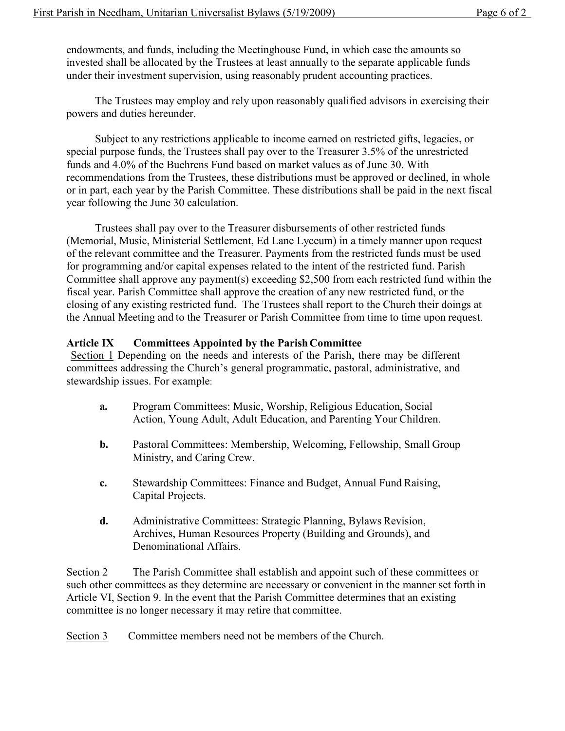endowments, and funds, including the Meetinghouse Fund, in which case the amounts so invested shall be allocated by the Trustees at least annually to the separate applicable funds under their investment supervision, using reasonably prudent accounting practices.

The Trustees may employ and rely upon reasonably qualified advisors in exercising their powers and duties hereunder.

Subject to any restrictions applicable to income earned on restricted gifts, legacies, or special purpose funds, the Trustees shall pay over to the Treasurer 3.5% of the unrestricted funds and 4.0% of the Buehrens Fund based on market values as of June 30. With recommendations from the Trustees, these distributions must be approved or declined, in whole or in part, each year by the Parish Committee. These distributions shall be paid in the next fiscal year following the June 30 calculation.

Trustees shall pay over to the Treasurer disbursements of other restricted funds (Memorial, Music, Ministerial Settlement, Ed Lane Lyceum) in a timely manner upon request of the relevant committee and the Treasurer. Payments from the restricted funds must be used for programming and/or capital expenses related to the intent of the restricted fund. Parish Committee shall approve any payment(s) exceeding \$2,500 from each restricted fund within the fiscal year. Parish Committee shall approve the creation of any new restricted fund, or the closing of any existing restricted fund. The Trustees shall report to the Church their doings at the Annual Meeting and to the Treasurer or Parish Committee from time to time upon request.

#### **Article IX Committees Appointed by the ParishCommittee**

Section 1 Depending on the needs and interests of the Parish, there may be different committees addressing the Church's general programmatic, pastoral, administrative, and stewardship issues. For example:

- **a.** Program Committees: Music, Worship, Religious Education, Social Action, Young Adult, Adult Education, and Parenting Your Children.
- **b.** Pastoral Committees: Membership, Welcoming, Fellowship, Small Group Ministry, and Caring Crew.
- **c.** Stewardship Committees: Finance and Budget, Annual Fund Raising, Capital Projects.
- **d.** Administrative Committees: Strategic Planning, Bylaws Revision, Archives, Human Resources Property (Building and Grounds), and Denominational Affairs.

Section 2 The Parish Committee shall establish and appoint such of these committees or such other committees as they determine are necessary or convenient in the manner set forth in Article VI, Section 9. In the event that the Parish Committee determines that an existing committee is no longer necessary it may retire that committee.

Section 3 Committee members need not be members of the Church.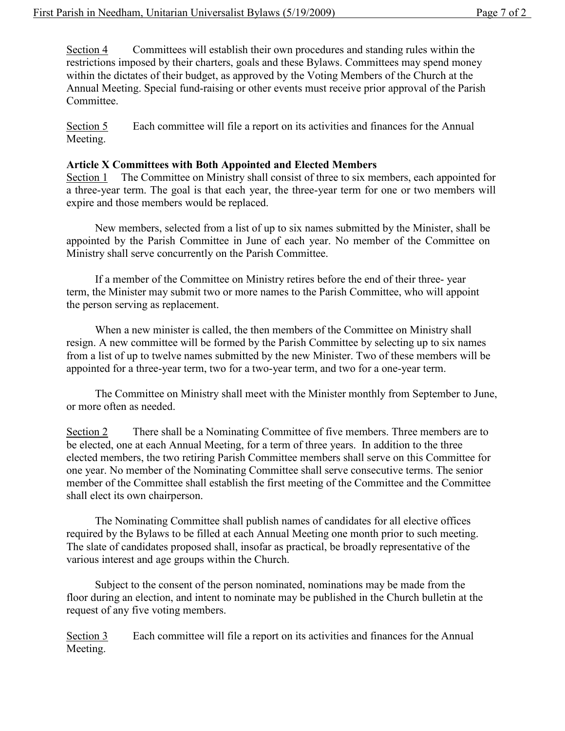Section 4 Committees will establish their own procedures and standing rules within the restrictions imposed by their charters, goals and these Bylaws. Committees may spend money within the dictates of their budget, as approved by the Voting Members of the Church at the Annual Meeting. Special fund-raising or other events must receive prior approval of the Parish Committee.

Section 5 Each committee will file a report on its activities and finances for the Annual Meeting.

#### **Article X Committees with Both Appointed and Elected Members**

Section 1 The Committee on Ministry shall consist of three to six members, each appointed for a three-year term. The goal is that each year, the three-year term for one or two members will expire and those members would be replaced.

New members, selected from a list of up to six names submitted by the Minister, shall be appointed by the Parish Committee in June of each year. No member of the Committee on Ministry shall serve concurrently on the Parish Committee.

If a member of the Committee on Ministry retires before the end of their three- year term, the Minister may submit two or more names to the Parish Committee, who will appoint the person serving as replacement.

When a new minister is called, the then members of the Committee on Ministry shall resign. A new committee will be formed by the Parish Committee by selecting up to six names from a list of up to twelve names submitted by the new Minister. Two of these members will be appointed for a three-year term, two for a two-year term, and two for a one-year term.

The Committee on Ministry shall meet with the Minister monthly from September to June, or more often as needed.

Section 2 There shall be a Nominating Committee of five members. Three members are to be elected, one at each Annual Meeting, for a term of three years. In addition to the three elected members, the two retiring Parish Committee members shall serve on this Committee for one year. No member of the Nominating Committee shall serve consecutive terms. The senior member of the Committee shall establish the first meeting of the Committee and the Committee shall elect its own chairperson.

The Nominating Committee shall publish names of candidates for all elective offices required by the Bylaws to be filled at each Annual Meeting one month prior to such meeting. The slate of candidates proposed shall, insofar as practical, be broadly representative of the various interest and age groups within the Church.

Subject to the consent of the person nominated, nominations may be made from the floor during an election, and intent to nominate may be published in the Church bulletin at the request of any five voting members.

Section 3 Each committee will file a report on its activities and finances for the Annual Meeting.